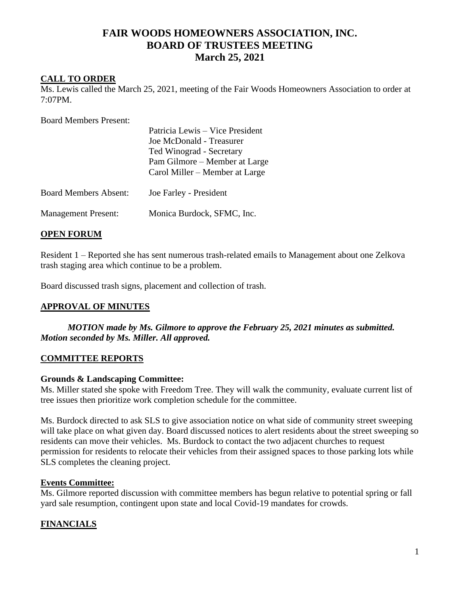# **FAIR WOODS HOMEOWNERS ASSOCIATION, INC. BOARD OF TRUSTEES MEETING March 25, 2021**

### **CALL TO ORDER**

Ms. Lewis called the March 25, 2021, meeting of the Fair Woods Homeowners Association to order at 7:07PM.

Board Members Present:

|                              | Patricia Lewis – Vice President<br>Joe McDonald - Treasurer<br>Ted Winograd - Secretary<br>Pam Gilmore – Member at Large<br>Carol Miller – Member at Large |
|------------------------------|------------------------------------------------------------------------------------------------------------------------------------------------------------|
| <b>Board Members Absent:</b> | Joe Farley - President                                                                                                                                     |
| <b>Management Present:</b>   | Monica Burdock, SFMC, Inc.                                                                                                                                 |

### **OPEN FORUM**

Resident 1 – Reported she has sent numerous trash-related emails to Management about one Zelkova trash staging area which continue to be a problem.

Board discussed trash signs, placement and collection of trash.

### **APPROVAL OF MINUTES**

*MOTION made by Ms. Gilmore to approve the February 25, 2021 minutes as submitted. Motion seconded by Ms. Miller. All approved.*

### **COMMITTEE REPORTS**

### **Grounds & Landscaping Committee:**

Ms. Miller stated she spoke with Freedom Tree. They will walk the community, evaluate current list of tree issues then prioritize work completion schedule for the committee.

Ms. Burdock directed to ask SLS to give association notice on what side of community street sweeping will take place on what given day. Board discussed notices to alert residents about the street sweeping so residents can move their vehicles. Ms. Burdock to contact the two adjacent churches to request permission for residents to relocate their vehicles from their assigned spaces to those parking lots while SLS completes the cleaning project.

### **Events Committee:**

Ms. Gilmore reported discussion with committee members has begun relative to potential spring or fall yard sale resumption, contingent upon state and local Covid-19 mandates for crowds.

## **FINANCIALS**